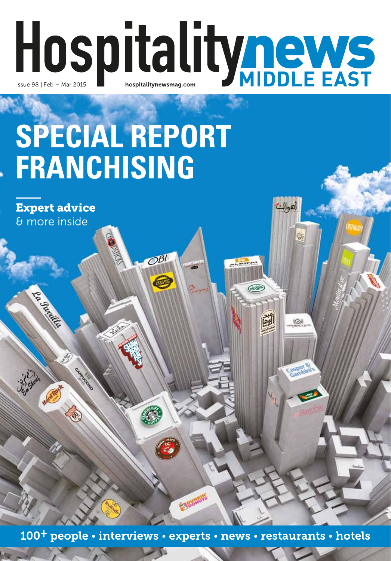# Hospitalitynews

## SPECIAL REPORT **FRANCHISING**

 $O<sub>51</sub>$ 

Collins

لانية<br>مراجع

**Expert advice** & more inside

p. P.R. Robinson

100<sup>+</sup> people • interviews • experts • news • restaurants • hotels

**EXIBORITIES**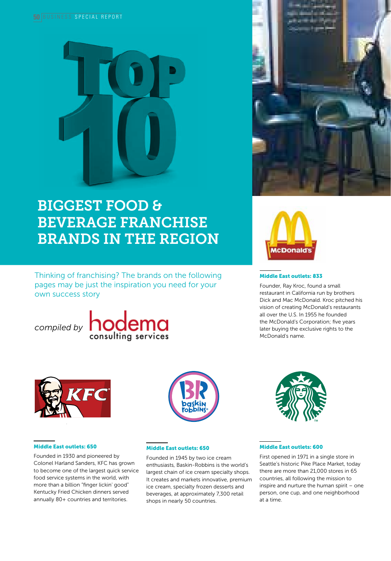

### BIGGEST FOOD & BEVERAGE FRANCHISE BRANDS IN THE REGION

Thinking of franchising? The brands on the following pages may be just the inspiration you need for your own success story

*compiled by* **hodema** 





#### Middle East outlets: 833

Founder, Ray Kroc, found a small restaurant in California run by brothers Dick and Mac McDonald. Kroc pitched his vision of creating McDonald's restaurants all over the U.S. In 1955 he founded the McDonald's Corporation; five years later buying the exclusive rights to the McDonald's name.



#### Middle East outlets: 650

Founded in 1930 and pioneered by Colonel Harland Sanders, KFC has grown to become one of the largest quick service food service systems in the world, with more than a billion "finger lickin' good" Kentucky Fried Chicken dinners served annually 80+ countries and territories.



#### Middle East outlets: 650

Founded in 1945 by two ice cream enthusiasts, Baskin-Robbins is the world's largest chain of ice cream specialty shops. It creates and markets innovative, premium ice cream, specialty frozen desserts and beverages, at approximately 7,300 retail shops in nearly 50 countries.



#### Middle East outlets: 600

First opened in 1971 in a single store in Seattle's historic Pike Place Market, today there are more than 21,000 stores in 65 countries, all following the mission to inspire and nurture the human spirit – one person, one cup, and one neighborhood at a time.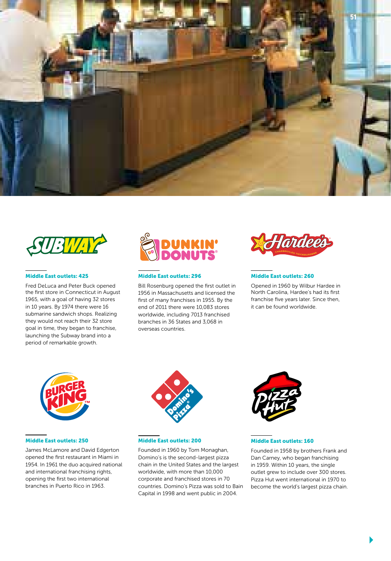



#### Middle East outlets: 425

Fred DeLuca and Peter Buck opened the first store in Connecticut in August 1965, with a goal of having 32 stores in 10 years. By 1974 there were 16 submarine sandwich shops. Realizing they would not reach their 32 store goal in time, they began to franchise, launching the Subway brand into a period of remarkable growth.



#### Middle East outlets: 296

Bill Rosenburg opened the first outlet in 1956 in Massachusetts and licensed the first of many franchises in 1955. By the end of 2011 there were 10,083 stores worldwide, including 7013 franchised branches in 36 States and 3,068 in overseas countries.



#### Middle East outlets: 260

Opened in 1960 by Wilbur Hardee in North Carolina, Hardee's had its first franchise five years later. Since then, it can be found worldwide.



#### Middle East outlets: 250

James McLamore and David Edgerton opened the first restaurant in Miami in 1954. In 1961 the duo acquired national and international franchising rights, opening the first two international branches in Puerto Rico in 1963.



#### Middle East outlets: 200

Founded in 1960 by Tom Monaghan, Domino's is the second-largest pizza chain in the United States and the largest worldwide, with more than 10,000 corporate and franchised stores in 70 countries. Domino's Pizza was sold to Bain Capital in 1998 and went public in 2004.



#### Middle East outlets: 160

Founded in 1958 by brothers Frank and Dan Carney, who began franchising in 1959. Within 10 years, the single outlet grew to include over 300 stores. Pizza Hut went international in 1970 to become the world's largest pizza chain.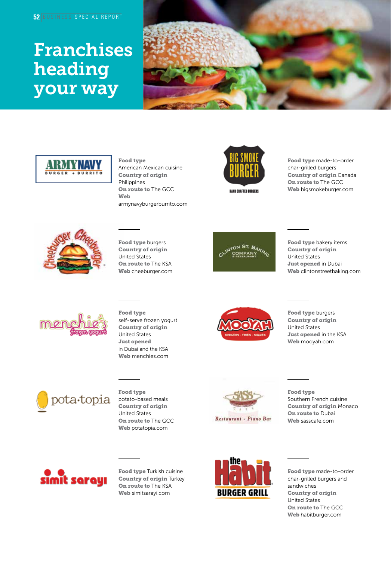## Franchises heading your way





#### Food type

American Mexican cuisine Country of origin Philippines On route to The GCC Web armynavyburgerburrito.com



HAND CRAFTED BURGERS

Food type made-to-order char-grilled burgers Country of origin Canada On route to The GCC Web bigsmokeburger.com



#### Food type burgers Country of origin United States **On route to The KSA** Web cheeburger.com



Food type bakery items Country of origin United States Just opened in Dubai Web clintonstreetbaking.com



Food type self-serve frozen yogurt Country of origin United States Just opened in Dubai and the KSA Web menchies.com



Food type burgers Country of origin United States Just opened in the KSA Web mooyah.com



Food type potato-based meals Country of origin United States On route to The GCC Web potatopia.com



Food type Southern French cuisine Country of origin Monaco On route to Dubai Web sasscafe.com



Food type Turkish cuisine Country of origin Turkey On route to The KSA Web simitsarayi.com



Food type made-to-order char-grilled burgers and sandwiches Country of origin United States On route to The GCC Web habitburger.com